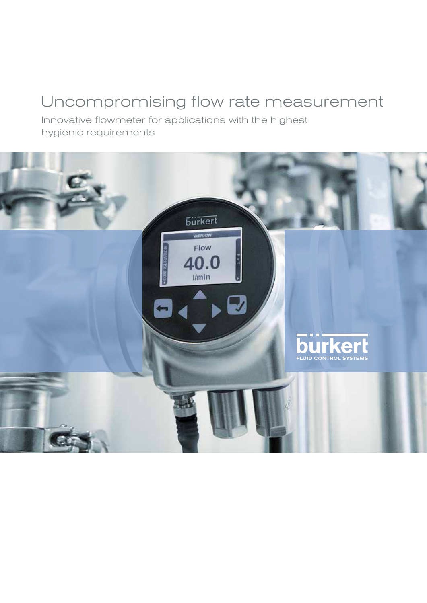## Uncompromising flow rate measurement

Innovative flowmeter for applications with the highest hygienic requirements

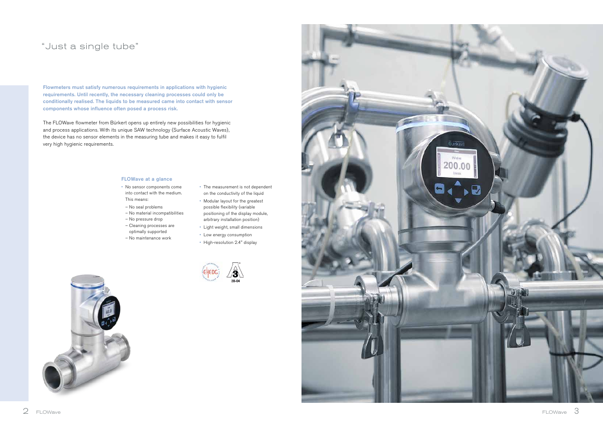

Flowmeters must satisfy numerous requirements in applications with hygienic requirements. Until recently, the necessary cleaning processes could only be conditionally realised. The liquids to be measured came into contact with sensor components whose influence often posed a process risk.

The FLOWave flowmeter from Bürkert opens up entirely new possibilities for hygienic and process applications. With its unique SAW technology (Surface Acoustic Waves), the device has no sensor elements in the measuring tube and makes it easy to fulfil very high hygienic requirements.

## "Just a single tube"

### FLOWave at a glance

- No sensor components come into contact with the medium. This means:
- No seal problems
- No material incompatibilities – No pressure drop
- Cleaning processes are
- optimally supported
- No maintenance work
- The measurement is not dependent on the conductivity of the liquid
- Modular layout for the greatest possible flexibility (variable positioning of the display module, arbitrary installation position)
- Light weight, small dimensions
- Low energy consumption
- High-resolution 2.4" display





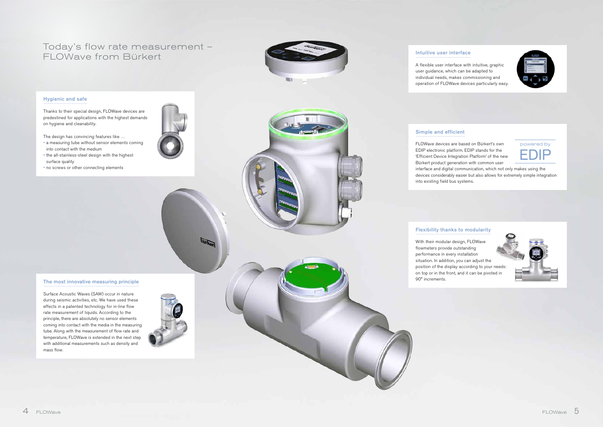## Today's flow rate measurement – FLOWave from Bürkert Intuitive user interface



A flexible user interface with intuitive, graphic user guidance, which can be adapted to individual needs, makes commissioning and operation of FLOWave devices particularly easy.

## Hygienic and safe

Thanks to their special design, FLOWave devices are predestined for applications with the highest demands on hygiene and cleanability.

The design has convincing features like …

- a measuring tube without sensor elements coming into contact with the medium
- the all-stainless-steel design with the highest surface quality
- no screws or other connecting elements

### The most innovative measuring principle

Surface Acoustic Waves (SAW) occur in nature during seismic activities, etc. We have used these effects in a patented technology for in-line flow rate measurement of liquids. According to the principle, there are absolutely no sensor elements coming into contact with the media in the measuring tube. Along with the measurement of flow rate and temperature, FLOWave is extended in the next step with additional measurements such as density and mass flow.



### Simple and efficient

FLOWave devices are based on Bürkert's own EDIP electronic platform. EDIP stands for the 'Efficient Device Integration Platform' of the new Bürkert product generation with common user interface and digital communication, which not only makes using the devices considerably easier but also allows for extremely simple integration into existing field bus systems.

## Flexibility thanks to modularity

With their modular design, FLOWave position of the display according to your needs: on top or in the front, and it can be pivoted in



flowmeters provide outstanding performance in every installation situation. In addition, you can adjust the 90° increments.



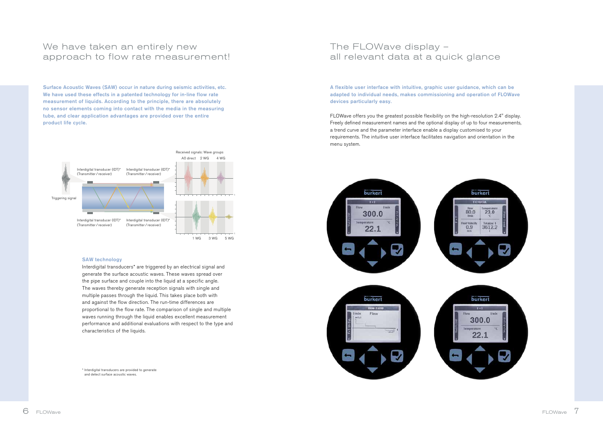

## We have taken an entirely new approach to flow rate measurement!

Surface Acoustic Waves (SAW) occur in nature during seismic activities, etc. We have used these effects in a patented technology for in-line flow rate measurement of liquids. According to the principle, there are absolutely no sensor elements coming into contact with the media in the measuring tube, and clear application advantages are provided over the entire product life cycle.

### SAW technology

Interdigital transducers\* are triggered by an electrical signal and generate the surface acoustic waves. These waves spread over the pipe surface and couple into the liquid at a specific angle. The waves thereby generate reception signals with single and multiple passes through the liquid. This takes place both with and against the flow direction. The run-time differences are proportional to the flow rate. The comparison of single and multiple waves running through the liquid enables excellent measurement performance and additional evaluations with respect to the type and characteristics of the liquids.

\* Interdigital transducers are provided to generate and detect surface acoustic waves.

## The FLOWave display – all relevant data at a quick glance

A flexible user interface with intuitive, graphic user guidance, which can be adapted to individual needs, makes commissioning and operation of FLOWave devices particularly easy.

FLOWave offers you the greatest possible flexibility on the high-resolution 2.4" display. Freely defined measurement names and the optional display of up to four measurements, a trend curve and the parameter interface enable a display customised to your requirements. The intuitive user interface facilitates navigation and orientation in the menu system.

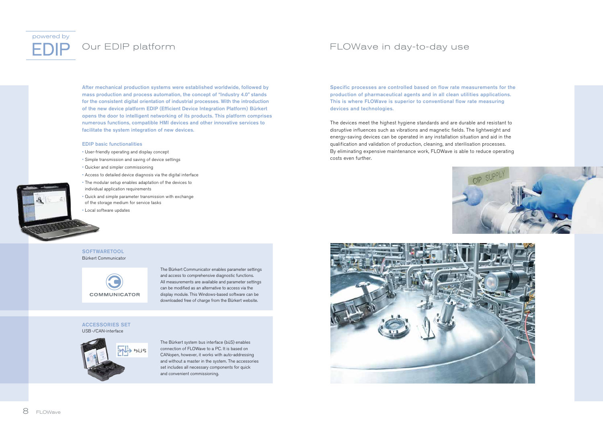# powered by

## Our EDIP platform

After mechanical production systems were established worldwide, followed by mass production and process automation, the concept of "Industry 4.0" stands for the consistent digital orientation of industrial processes. With the introduction of the new device platform EDIP (Efficient Device Integration Platform) Bürkert opens the door to intelligent networking of its products. This platform comprises numerous functions, compatible HMI devices and other innovative services to facilitate the system integration of new devices.

### **SOFTWARETOOL** Bürkert Communicator



### EDIP basic functionalities

- User-friendly operating and display concept
- Simple transmission and saving of device settings
- Quicker and simpler commissioning
- Access to detailed device diagnosis via the digital interface
- The modular setup enables adaptation of the devices to individual application requirements
- Quick and simple parameter transmission with exchange of the storage medium for service tasks
- Local software updates

### Accessories Set USB-/CAN-interface



The Bürkert Communicator enables parameter settings and access to comprehensive diagnostic functions. All measurements are available and parameter settings can be modified as an alternative to access via the display module. This Windows-based software can be downloaded free of charge from the Bürkert website.

The Bürkert system bus interface (büS) enables connection of FLOWave to a PC. It is based on CANopen, however, it works with auto-addressing and without a master in the system. The accessories set includes all necessary components for quick and convenient commissioning.





## FLOWave in day-to-day use

Specific processes are controlled based on flow rate measurements for the production of pharmaceutical agents and in all clean utilities applications. This is where FLOWave is superior to conventional flow rate measuring devices and technologies.

The devices meet the highest hygiene standards and are durable and resistant to disruptive influences such as vibrations and magnetic fields. The lightweight and energy-saving devices can be operated in any installation situation and aid in the qualification and validation of production, cleaning, and sterilisation processes. By eliminating expensive maintenance work, FLOWave is able to reduce operating costs even further.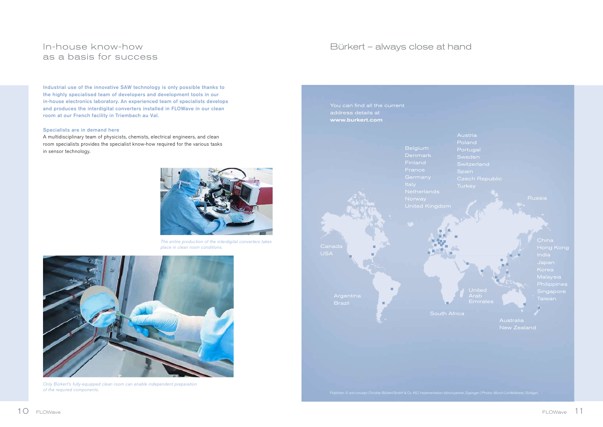## Bürkert – always close at hand

- Poland
- Portugal
- 
- **Switzerland**
- 
- 
- 

India **Singapore** 

**Australia** 

Austria





Russia

Industrial use of the innovative SAW technology is only possible thanks to the highly specialised team of developers and development tools in our in-house electronics laboratory. An experienced team of specialists develops and produces the interdigital converters installed in FLOWave in our clean room at our French facility in Triembach au Val.

### Specialists are in demand here

A multidisciplinary team of physicists, chemists, electrical engineers, and clean room specialists provides the specialist know-how required for the various tasks in sensor technology.

## In-house know-how as a basis for success



The entire production of the interdigital converters takes place in clean room conditions.



Only Bürkert's fully-equipped clean room can enable independent preparation of the required components.